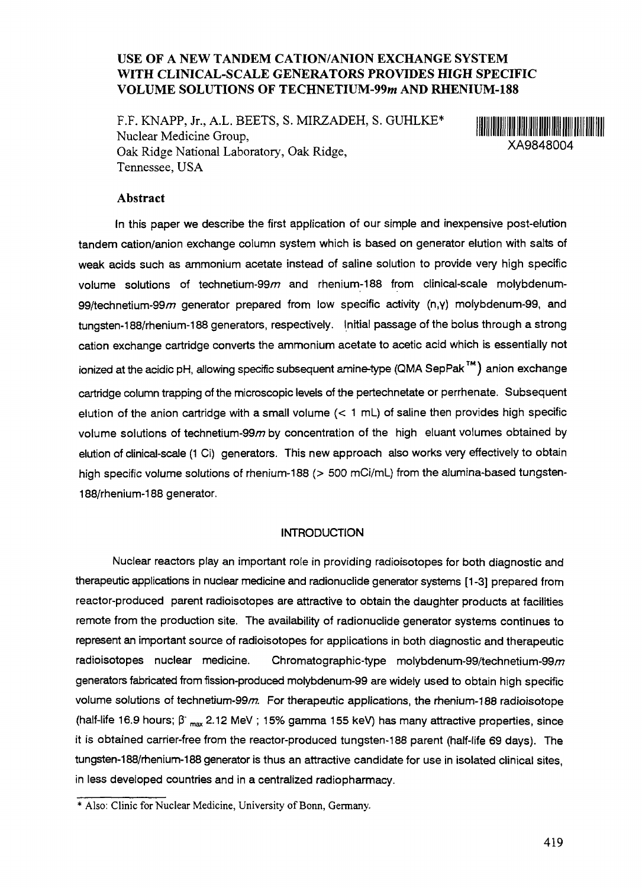# **USE OF A NEW TANDEM CATION/ANION EXCHANGE SYSTEM WITH CLINICAL-SCALE GENERATORS PROVIDES HIGH SPECIFIC VOLUME SOLUTIONS OF TECHNETIUM-99m AND RHENIUM-188**

F.F. KNAPP, Jr., A.L. BEETS, S. MIRZADEH, S. GUHLKE\* Nuclear Medicine Group, National Medicine Stody,<br>Oak Ridge National Laboratory, Oak Ridge, XA9848004 Tennessee, USA



#### **Abstract**

In this paper we describe the first application of our simple and inexpensive post-elution tandem cation/anion exchange column system which is based on generator elution with salts of weak acids such as ammonium acetate instead of saline solution to provide very high specific volume solutions of technetium-99 $m$  and rhenium-188 from clinical-scale molybdenum-99/technetium-99 $m$  generator prepared from low specific activity (n,y) molybdenum-99, and tungsten-188/rhenium-188 generators, respectively. Initial passage of the bolus through a strong cation exchange cartridge converts the ammonium acetate to acetic acid which is essentially not ionized at the acidic pH, allowing specific subsequent amine-type (QMA SepPak <sup>™</sup>) anion exchange cartridge column trapping of the microscopic levels of the pertechnetate or perrhenate. Subsequent elution of the anion cartridge with a small volume  $(< 1 \text{ mL})$  of saline then provides high specific volume solutions of technetium-99 $m$  by concentration of the high eluant volumes obtained by elution of clinical-scale (1 Ci) generators. This new approach also works very effectively to obtain high specific volume solutions of rhenium-188 (> 500 mCi/mL) from the alumina-based tungsten-188/rhenium-188 generator.

#### **INTRODUCTION**

Nuclear reactors play an important role in providing radioisotopes for both diagnostic and therapeutic applications in nuclear medicine and radionuclide generator systems [1-3] prepared from reactor-produced parent radioisotopes are attractive to obtain the daughter products at facilities remote from the production site. The availability of radionuclide generator systems continues to represent an important source of radioisotopes for applications in both diagnostic and therapeutic radioisotopes nuclear medicine. Chromatographic-type molybdenum-99/technetium-99 $m$ generators fabricated from fission-produced molybdenum-99 are widely used to obtain high specific volume solutions of technetium-99m. For therapeutic applications, the rhenium-188 radioisotope (half-life 16.9 hours;  $\beta_{\text{max}}$  2.12 MeV ; 15% gamma 155 keV) has many attractive properties, since it is obtained carrier-free from the reactor-produced tungsten-188 parent (half-life 69 days). The tungsten-188/rhenium-188 generator is thus an attractive candidate for use in isolated clinical sites, in less developed countries and in a centralized radiopharmacy.

Also: Clinic for Nuclear Medicine, University of Bonn, Germany.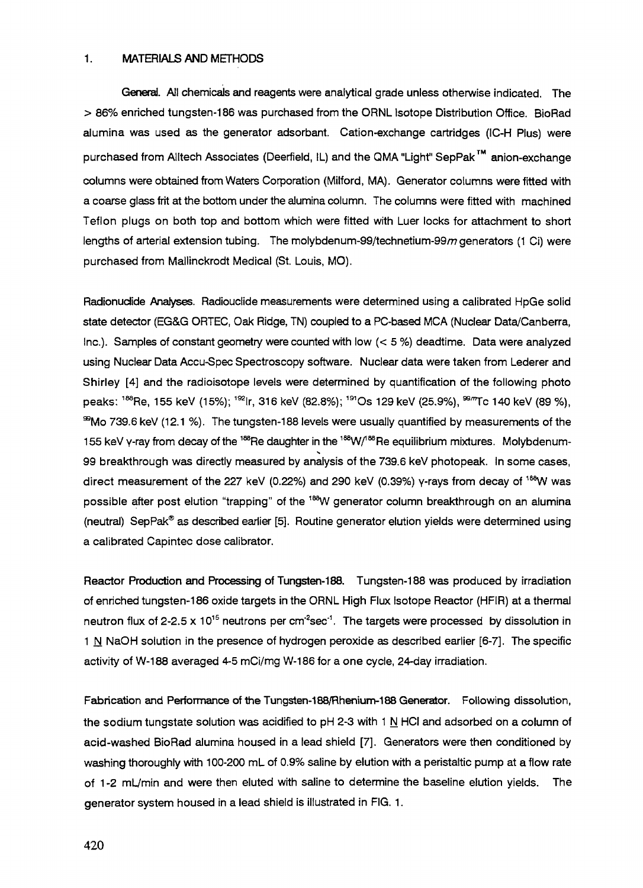#### 1. MATERIALS AND METHODS

General. All chemicals and reagents were analytical grade unless otherwise indicated. The > 86% enriched tungsten-186 was purchased from the ORNL Isotope Distribution Office. BioRad alumina was used as the generator adsorbant. Cation-exchange cartridges (IC-H Plus) were purchased from Alltech Associates (Deerfield, IL) and the QMA "Light" SepPak™ anion-exchange columns were obtained from Waters Corporation (Milford, MA). Generator columns were fitted with a coarse glass frit at the bottom under the alumina column. The columns were fitted with machined Teflon plugs on both top and bottom which were fitted with Luer locks for attachment to short lengths of arterial extension tubing. The molybdenum-99/technetium-99m generators (1 Ci) were purchased from Mallinckrodt Medical (St. Louis, MO).

Radionuclide Analyses. Radiouclide measurements were determined using a calibrated HpGe solid state detector (EG&G ORTEC, Oak Ridge, TN) coupled to a PC-based MCA (Nuclear Data/Canberra, Inc.). Samples of constant geometry were counted with low  $(< 5 %$ ) deadtime. Data were analyzed using Nuclear Data Accu-Spec Spectroscopy software. Nuclear data were taken from Lederer and Shirley [4] and the radioisotope levels were determined by quantification of the following photo peaks: <sup>188</sup>Re, 155 keV (15%); <sup>192</sup>lr, 316 keV (82.8%); <sup>191</sup>Os 129 keV (25.9%), <sup>99</sup>‴Tc 140 keV (89 %)  $\%$ Mo 739.6 keV (12.1 %). The tungsten-188 levels were usually quantified by measurements of the 155 keV γ-ray from decay of the <sup>188</sup>Re daughter in the <sup>188</sup>W/<sup>188</sup>Re equilibrium mixtures. Molybdenum-99 breakthrough was directly measured by analysis of the 739.6 keV photopeak. In some cases, direct measurement of the 227 keV (0.22%) and 290 keV (0.39%) y-rays from decay of <sup>188</sup>W was possible after post elution "trapping" of the <sup>188</sup>W generator column breakthrough on an alumina (neutral) SepPak® as described earlier [5]. Routine generator elution yields were determined using a calibrated Capintec dose calibrator.

Reactor Production and Processing of Tungsten-188. Tungsten-188 was produced by irradiation of enriched tungsten-186 oxide targets in the ORNL High Flux Isotope Reactor (HFIR) at a thermal neutron flux of 2-2.5 x 10<sup>15</sup> neutrons per cm<sup>2</sup>sec<sup>-1</sup>. The targets were processed by dissolution in 1 N NaOH solution in the presence of hydrogen peroxide as described earlier  $[6-7]$ . The specific activity of W-188 averaged 4-5 mCi/mg W-186 for a one cycle, 24-day irradiation.

Fabrication and Performance of the Tungsten-188/Rhenium-188 Generator. Following dissolution, the sodium tungstate solution was acidified to  $pH$  2-3 with 1 N HCI and adsorbed on a column of acid-washed BioRad alumina housed in a lead shield [7]. Generators were then conditioned by washing thoroughly with 100-200 mL of 0.9% saline by elution with a peristaltic pump at a flow rate of 1 -2 mL/min and were then eluted with saline to determine the baseline elution yields. The generator system housed in a lead shield is illustrated in FIG. 1.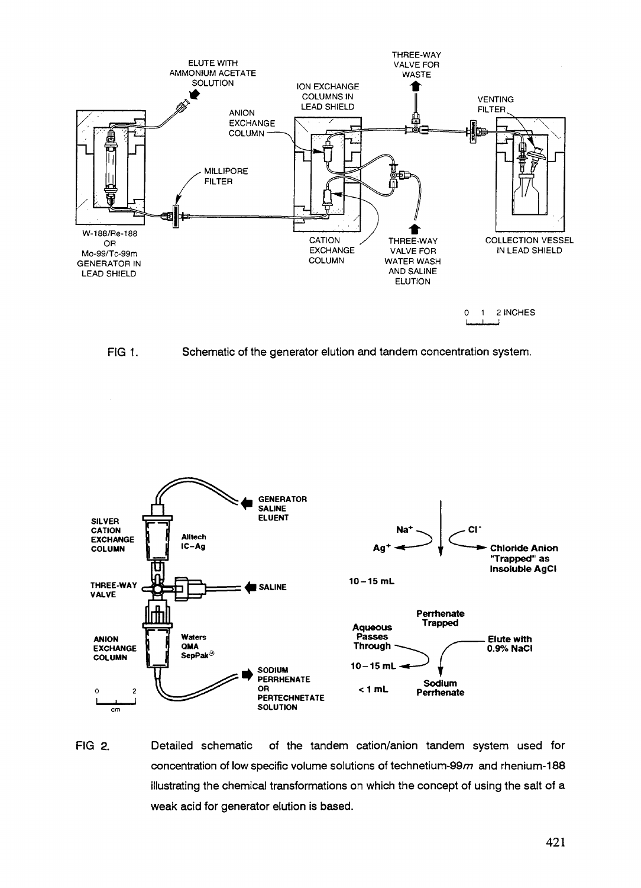





FIG 2. Detailed schematic of the tandem cation/anion tandem system used for concentration of low specific volume solutions of technetium-99 $m$  and rhenium-188 illustrating the chemical transformations on which the concept of using the salt of a weak acid for generator elution is based.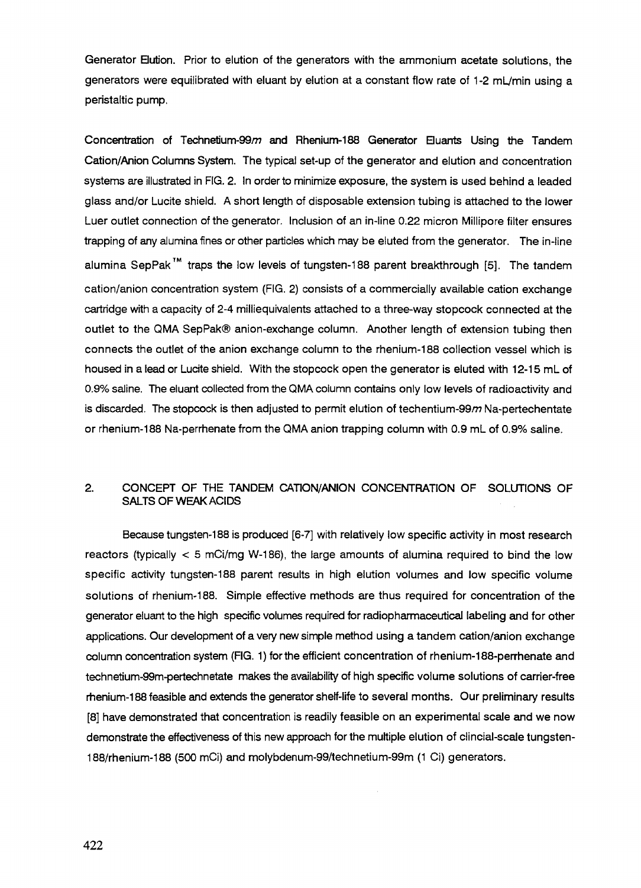Generator Bution. Prior to elution of the generators with the ammonium acetate solutions, the generators were equilibrated with eluant by elution at a constant flow rate of 1-2 mL/min using a peristaltic pump.

Concentration of Technetium-99m and Rhenium-188 Generator Eluants Using the Tandem Cation/Anion Columns System. The typical set-up of the generator and elution and concentration systems are illustrated in FIG. 2. In order to minimize exposure, the system is used behind a leaded glass and/or Lucite shield. A short length of disposable extension tubing is attached to the lower Luer outlet connection of the generator. Inclusion of an in-line 0.22 micron Millipore filter ensures trapping of any alumina fines or other particles which may be eluted from the generator. The in-line alumina SepPak<sup>™</sup> traps the low levels of tungsten-188 parent breakthrough [5]. The tandem cation/anion concentration system (FIG. 2) consists of a commercially available cation exchange cartridge with a capacity of 2-4 milliequivalents attached to a three-way stopcock connected at the outlet to the QMA SepPak® anion-exchange column. Another length of extension tubing then connects the outlet of the anion exchange column to the rhenium-188 collection vessel which is housed in a lead or Lucite shield. With the stopcock open the generator is eluted with 12-15 mL of 0.9% saline. The eluant collected from the QMA column contains only low levels of radioactivity and is discarded. The stopcock is then adjusted to permit elution of techentium-99 $m$  Na-pertechentate or rhenium-188 Na-perrhenate from the QMA anion trapping column with 0.9 mL of 0.9% saline.

# 2. CONCEPT OF THE TANDEM CATION/ANION CONCENTRATION OF SOLUTIONS OF SALTS OF WEAK ACIDS

Because tungsten-188 is produced [6-7] with relatively low specific activity in most research reactors (typically  $<$  5 mCi/mg W-186), the large amounts of alumina required to bind the low specific activity tungsten-188 parent results in high elution volumes and low specific volume solutions of rhenium-188. Simple effective methods are thus required for concentration of the generator eluant to the high specific volumes required for radiopharmaceutical labeling and for other applications. Our development of a very new simple method using a tandem cation/anion exchange column concentration system (FIG. 1) for the efficient concentration of rhenium-188-perrhenate and technetium-99m-pertechnetate makes the availability of high specific volume solutions of carrier-free rhenium-188 feasible and extends the generator shelf-life to several months. Our preliminary results [8] have demonstrated that concentration is readily feasible on an experimental scale and we now demonstrate the effectiveness of this new approach for the multiple elution of clincial-scale tungsten-188/rhenium-188 (500 mCi) and molybdenum-99/technetium-99m (1 Ci) generators.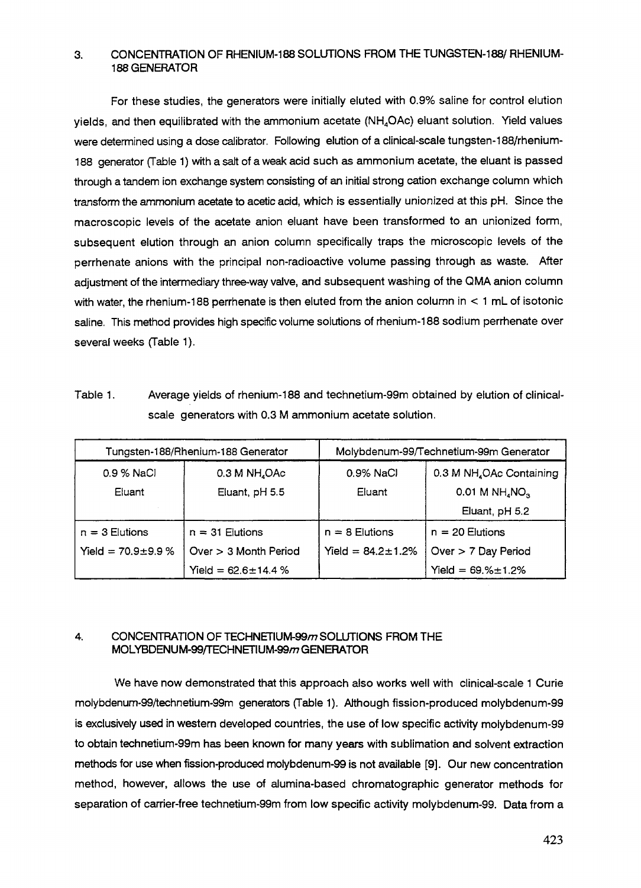## 3. CONCENTRATION OF RHENIUM-188 SOLUTIONS FROM THE TUNGSTEN-188/ RHENIUM-188 GENERATOR

For these studies, the generators were initially eluted with 0.9% saline for control elution yields, and then equilibrated with the ammonium acetate (NH4OAc) eluant solution. Yield values were determined using a dose calibrator. Following elution of a clinical-scale tungsten-188/rhenium-188 generator (Table 1) with a salt of a weak acid such as ammonium acetate, the eluant is passed through a tandem ion exchange system consisting of an initial strong cation exchange column which transform the ammonium acetate to acetic acid, which is essentially unionized at this pH. Since the macroscopic levels of the acetate anion eluant have been transformed to an unionized form, subsequent elution through an anion column specifically traps the microscopic levels of the perrhenate anions with the principal non-radioactive volume passing through as waste. After adjustment of the intermediary three-way valve, and subsequent washing of the QMA anion column with water, the rhenium-188 perrhenate is then eluted from the anion column in  $\leq 1$  mL of isotonic saline. This method provides high specific volume solutions of menium-188 sodium perrhenate over several weeks (Table 1).

Table 1. Average yields of rhenium-188 and technetium-99m obtained by elution of clinicalscale generators with 0.3 M ammonium acetate solution.

| Tungsten-188/Rhenium-188 Generator |                           | Molybdenum-99/Technetium-99m Generator |                                          |
|------------------------------------|---------------------------|----------------------------------------|------------------------------------------|
| 0.9 % NaCl                         | 0.3 M NH <sub>4</sub> OAc | 0.9% NaCl                              | 0.3 M NH <sub>4</sub> OAc Containing     |
| Eluant                             | Eluant, pH 5.5            | Eluant                                 | $0.01$ M NH <sub>4</sub> NO <sub>3</sub> |
|                                    |                           |                                        | Eluant, pH 5.2                           |
| $n = 3$ Elutions                   | $n = 31$ Elutions         | $n = 8$ Elutions                       | $n = 20$ Elutions                        |
| Yield = $70.9 \pm 9.9$ %           | Over $>$ 3 Month Period   | Yield = $84.2 \pm 1.2\%$               | Over $> 7$ Day Period                    |
|                                    | Yield = $62.6 \pm 14.4$ % |                                        | Yield = $69.% \pm 1.2%$                  |

### 4. CONCENTRATION OF TECHNETIUM-99m SOLUTIONS FROM THE MOLYBDENUM-99/TECHNETIUM-99/n GENERATOR

We have now demonstrated that this approach also works well with clinical-scale 1 Curie molybdenum-99/technetium-99m generators (Table 1). Although fission-produced molybdenum-99 is exclusively used in western developed countries, the use of low specific activity molybdenum-99 to obtain technetium-99m has been known for many years with sublimation and solvent extraction methods for use when fission-produced molybdenum-99 is not available [9]. Our new concentration method, however, allows the use of alumina-based chromatographic generator methods for separation of carrier-free technetium-99m from low specific activity molybdenum-99. Data from a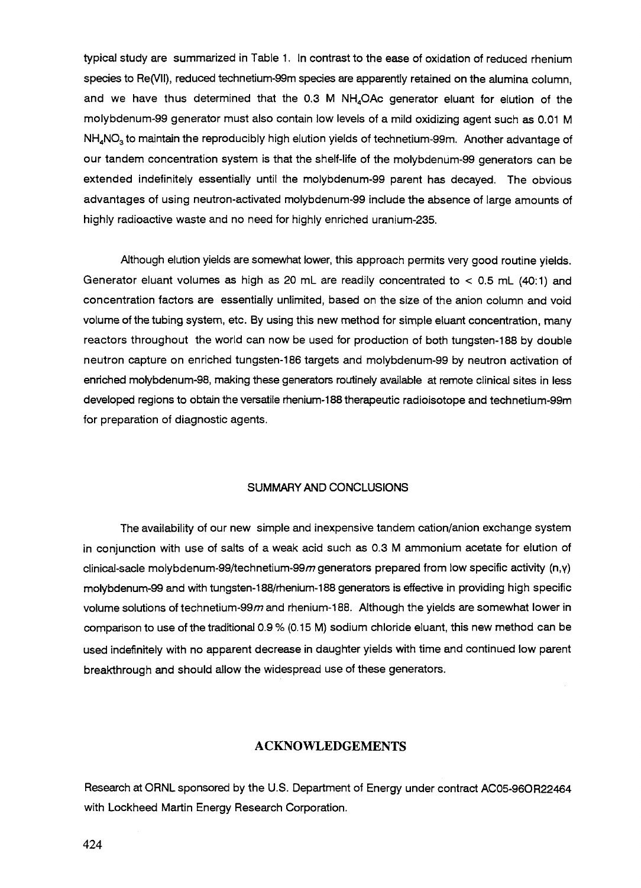typical study are summarized in Table 1. In contrast to the ease of oxidation of reduced rhenium species to Re(VII), reduced technetium-99m species are apparently retained on the alumina column, and we have thus determined that the  $0.3$  M  $NH<sub>4</sub>OAc$  generator eluant for elution of the molybdenum-99 generator must also contain low levels of a mild oxidizing agent such as 0.01 M  $NH<sub>a</sub>NO<sub>3</sub>$  to maintain the reproducibly high elution yields of technetium-99m. Another advantage of our tandem concentration system is that the shelf-life of the molybdenum-99 generators can be extended indefinitely essentially until the molybdenum-99 parent has decayed. The obvious advantages of using neutron-activated molybdenum-99 include the absence of large amounts of highly radioactive waste and no need for highly enriched uranium-235.

Although elution yields are somewhat lower, this approach permits very good routine yields. Generator eluant volumes as high as 20 mL are readily concentrated to  $<$  0.5 mL (40:1) and concentration factors are essentially unlimited, based on the size of the anion column and void volume of the tubing system, etc. By using this new method for simple eluant concentration, many reactors throughout the world can now be used for production of both tungsten-188 by double neutron capture on enriched tungsten-186 targets and molybdenum-99 by neutron activation of enriched molybdenum-98, making these generators routinely available at remote clinical sites in less developed regions to obtain the versatile rhenium-188 therapeutic radioisotope and technetium-99m for preparation of diagnostic agents.

### SUMMARY AND CONCLUSIONS

The availability of our new simple and inexpensive tandem cation/anion exchange system in conjunction with use of salts of a weak acid such as 0.3 M ammonium acetate for elution of clinical-sacle molybdenum-99/technetium-99 $m$  generators prepared from low specific activity (n,y) molybdenum-99 and with tungsten-188/rhenium-188 generators is effective in providing high specific volume solutions of technetium-99 $m$  and rhenium-188. Although the yields are somewhat lower in comparison to use of the traditional 0.9 % (0.15 M) sodium chloride eluant, this new method can be used indefinitely with no apparent decrease in daughter yields with time and continued low parent breakthrough and should allow the widespread use of these generators.

# ACKNOWLEDGEMENTS

Research at ORNL sponsored by the U.S. Department of Energy under contract AC05-96OR22464 with Lockheed Martin Energy Research Corporation.